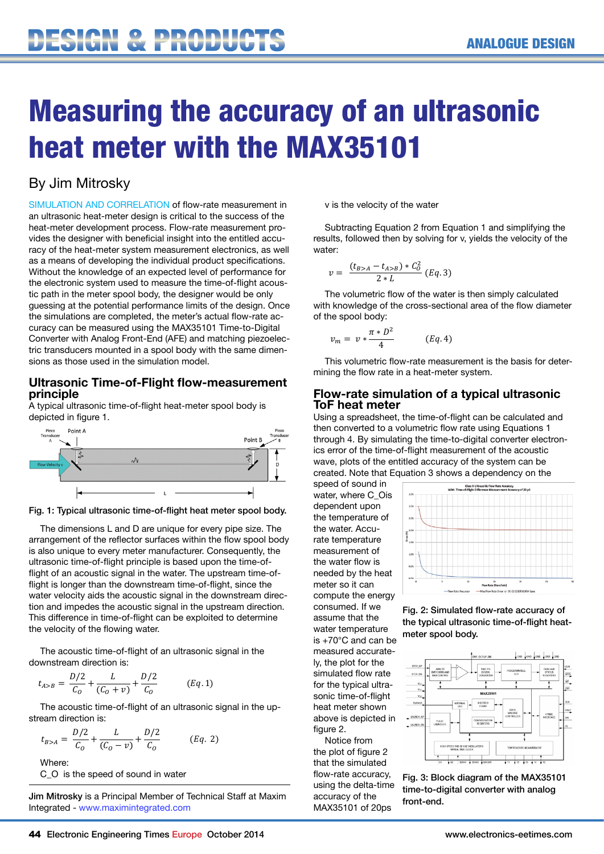## Measuring the accuracy of an ultrasonic heat meter with the MAX35101  $\blacksquare$  and  $\blacksquare$ Uy of an array

## By Jim Mitrosky

SIMULATION AND CORRELATION of flow-rate measurement in an ultrasonic heat-meter design is critical to the success of the heat-meter development process. Flow-rate measurement provides the designer with beneficial insight into the entitled accuracy of the heat-meter system measurement electronics, as well as a means of developing the individual product specifications. Without the knowledge of an expected level of performance for the electronic system used to measure the time-of-flight acoustic path in the meter spool body, the designer would be only guessing at the potential performance limits of the design. Once the simulations are completed, the meter's actual flow-rate accuracy can be measured using the MAX35101 Time-to-Digital Converter with Analog Front-End (AFE) and matching piezoelectric transducers mounted in a spool body with the same dimensions as those used in the simulation model.

#### **Ultrasonic Time-of-Flight flow-measurement principle**

A typical ultrasonic time-of-flight heat-meter spool body is depicted in figure 1.



Fig. 1: Typical ultrasonic time-of-flight heat meter spool body.

The dimensions L and D are unique for every pipe size. The arrangement of the reflector surfaces within the flow spool body is also unique to every meter manufacturer. Consequently, the ultrasonic time-of-flight principle is based upon the time-offlight of an acoustic signal in the water. The upstream time-offlight is longer than the downstream time-of-flight, since the water velocity aids the acoustic signal in the downstream direction and impedes the acoustic signal in the upstream direction. This difference in time-of-flight can be exploited to determine the velocity of the flowing water.

The acoustic time-of-flight of an ultrasonic signal in the downstream direction is:

$$
t_{A>B} = \frac{D/2}{C_O} + \frac{L}{(C_O + v)} + \frac{D/2}{C_O} \qquad (Eq. 1)
$$

The acoustic time-of-flight of an ultrasonic signal in the upstream direction is:

$$
t_{B> A} = \frac{D/2}{C_O} + \frac{L}{(C_O - v)} + \frac{D/2}{C_O} \hspace{1cm} (Eq. 2)
$$

Where:

C O is the speed of sound in water

Jim Mitrosky is a Principal Member of Technical Staff at Maxim Integrated - www.maximintegrated.com

v is the velocity of the water

Subtracting Equation 2 from Equation 1 and simplifying the results, followed then by solving for v, yields the velocity of the water:

$$
v = \frac{(t_{B>A} - t_{A>B}) * C_0^2}{2 * L} (Eq. 3)
$$

 $2 * L$ <br>The volumetric flow of the water is then simply calculated with knowledge of the cross-sectional area of the flow diameter of the spool body:

$$
v_m = v * \frac{\pi * D^2}{4} \qquad (Eq. 4)
$$

This volumetric flow-rate measurement is the basis for determining the flow rate in a heat-meter system.

#### **Flow-rate simulation of a typical ultrasonic ToF heat meter**

Using a spreadsheet, the time-of-flight can be calculated and then converted to a volumetric flow rate using Equations 1 through 4. By simulating the time-to-digital converter electronics error of the time-of-flight measurement of the acoustic wave, plots of the entitled accuracy of the system can be created. Note that Equation 3 shows a dependency on the

speed of sound in water, where C\_Ois dependent upon the temperature of the water. Accurate temperature measurement of the water flow is needed by the heat meter so it can compute the energy consumed. If we assume that the water temperature is +70°C and can be measured accurately, the plot for the simulated flow rate for the typical ultrasonic time-of-flight heat meter shown above is depicted in figure 2.

Notice from the plot of figure 2 that the simulated flow-rate accuracy, using the delta-time accuracy of the MAX35101 of 20ps



Fig. 2: Simulated flow-rate accuracy of the typical ultrasonic time-of-flight heatmeter spool body.



Fig. 3: Block diagram of the MAX35101 time-to-digital converter with analog front-end.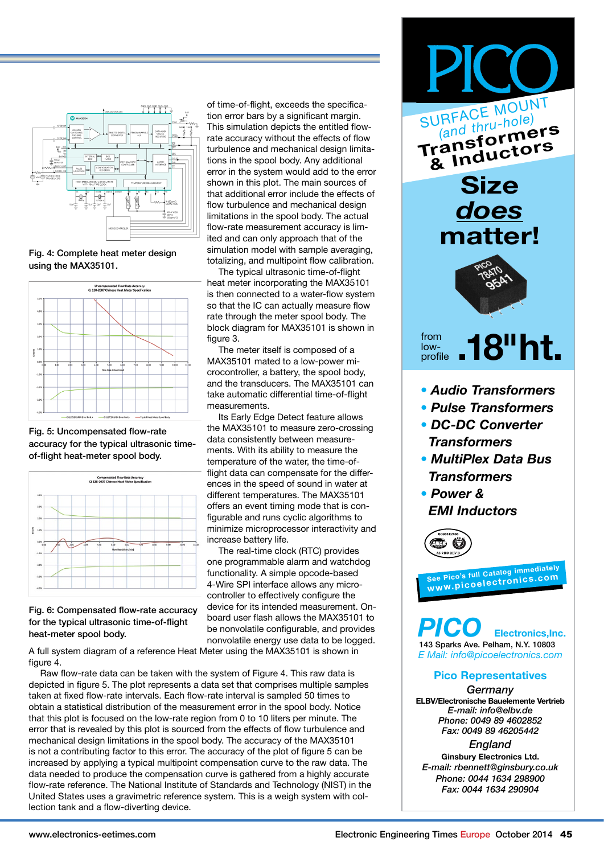

Fig. 4: Complete heat meter design using the MAX35101.



Fig. 5: Uncompensated flow-rate accuracy for the typical ultrasonic timeof-flight heat-meter spool body.



Fig. 6: Compensated flow-rate accuracy for the typical ultrasonic time-of-flight heat-meter spool body.

of time-of-flight, exceeds the specification error bars by a significant margin. This simulation depicts the entitled flowrate accuracy without the effects of flow turbulence and mechanical design limitations in the spool body. Any additional error in the system would add to the error shown in this plot. The main sources of that additional error include the effects of flow turbulence and mechanical design limitations in the spool body. The actual flow-rate measurement accuracy is limited and can only approach that of the simulation model with sample averaging, totalizing, and multipoint flow calibration.

The typical ultrasonic time-of-flight heat meter incorporating the MAX35101 is then connected to a water-flow system so that the IC can actually measure flow rate through the meter spool body. The block diagram for MAX35101 is shown in figure 3.

The meter itself is composed of a MAX35101 mated to a low-power microcontroller, a battery, the spool body, and the transducers. The MAX35101 can take automatic differential time-of-flight measurements.

Its Early Edge Detect feature allows the MAX35101 to measure zero-crossing data consistently between measurements. With its ability to measure the temperature of the water, the time-offlight data can compensate for the differences in the speed of sound in water at different temperatures. The MAX35101 offers an event timing mode that is configurable and runs cyclic algorithms to minimize microprocessor interactivity and increase battery life.

The real-time clock (RTC) provides one programmable alarm and watchdog functionality. A simple opcode-based 4-Wire SPI interface allows any microcontroller to effectively configure the device for its intended measurement. Onboard user flash allows the MAX35101 to be nonvolatile configurable, and provides nonvolatile energy use data to be logged.

A full system diagram of a reference Heat Meter using the MAX35101 is shown in figure 4.

Raw flow-rate data can be taken with the system of Figure 4. This raw data is depicted in figure 5. The plot represents a data set that comprises multiple samples taken at fixed flow-rate intervals. Each flow-rate interval is sampled 50 times to obtain a statistical distribution of the measurement error in the spool body. Notice that this plot is focused on the low-rate region from 0 to 10 liters per minute. The error that is revealed by this plot is sourced from the effects of flow turbulence and mechanical design limitations in the spool body. The accuracy of the MAX35101 is not a contributing factor to this error. The accuracy of the plot of figure 5 can be increased by applying a typical multipoint compensation curve to the raw data. The data needed to produce the compensation curve is gathered from a highly accurate flow-rate reference. The National Institute of Standards and Technology (NIST) in the United States uses a gravimetric reference system. This is a weigh system with collection tank and a flow-diverting device.



- 
- *• Pulse Transformers*
- *• DC-DC Converter Transformers*
- *• MultiPlex Data Bus Transformers*
- *• Power & EMI Inductors*



**See Pico's full Catalog immediately www.picoelectronics.co<sup>m</sup>**

**Electronics, Inc.** 143 Sparks Ave. Pelham, N.Y. 10803 *E Mail: info@picoelectronics.com*

#### **Pico Representatives**

*Germany* **ELBV/Electronische Bauelemente Vertrieb** *E-mail: info@elbv.de Phone: 0049 89 4602852 Fax: 0049 89 46205442*

*England* **Ginsbury Electronics Ltd.** *E-mail: rbennett@ginsbury.co.uk Phone: 0044 1634 298900 Fax: 0044 1634 290904*